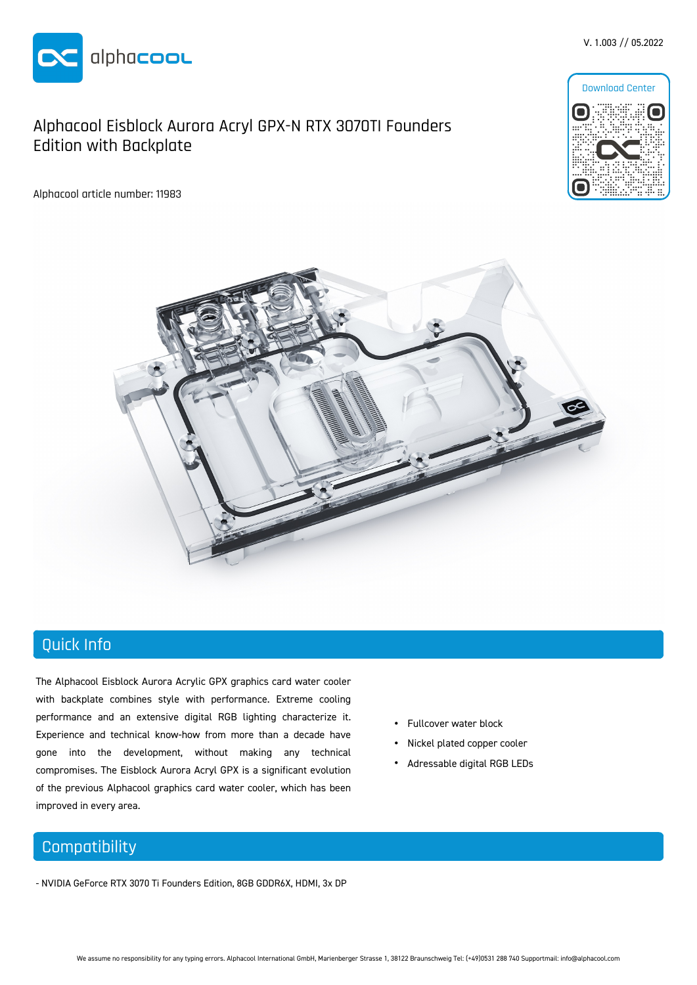

### Alphacool Eisblock Aurora Acryl GPX-N RTX 3070TI Founders Edition with Backplate

Alphacool article number: 11983



V. 1.003 // 05.2022



## Quick Info

The Alphacool Eisblock Aurora Acrylic GPX graphics card water cooler with backplate combines style with performance. Extreme cooling performance and an extensive digital RGB lighting characterize it. Experience and technical know-how from more than a decade have gone into the development, without making any technical compromises. The Eisblock Aurora Acryl GPX is a significant evolution of the previous Alphacool graphics card water cooler, which has been improved in every area.

#### • Fullcover water block

- Nickel plated copper cooler
- Adressable digital RGB LEDs

## **Compatibility**

- NVIDIA GeForce RTX 3070 Ti Founders Edition, 8GB GDDR6X, HDMI, 3x DP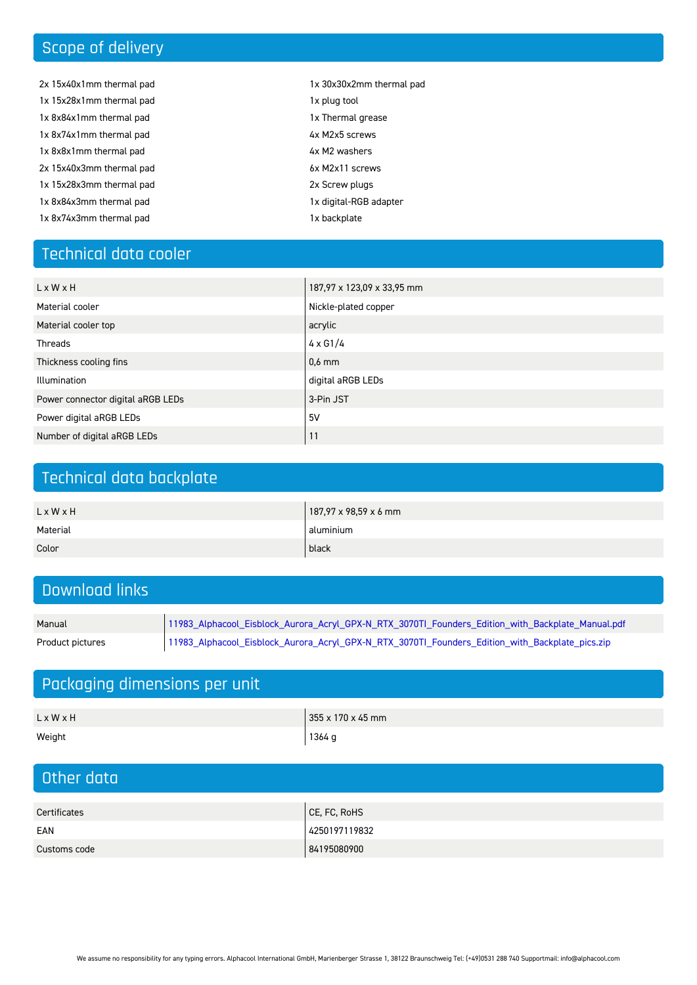# Scope of delivery

- 2x 15x40x1mm thermal pad 1x 15x28x1mm thermal pad 1x 8x84x1mm thermal pad 1x 8x74x1mm thermal pad 1x 8x8x1mm thermal pad 2x 15x40x3mm thermal pad 1x 15x28x3mm thermal pad 1x 8x84x3mm thermal pad 1x 8x74x3mm thermal pad
- 1x 30x30x2mm thermal pad
- 1x plug tool
- 1x Thermal grease
- 4x M2x5 screws
- 4x M2 washers
- 6x M2x11 screws
- 2x Screw plugs
- 1x digital-RGB adapter
- 1x backplate

### Technical data cooler

| L x W x H                         | 187,97 x 123,09 x 33,95 mm |
|-----------------------------------|----------------------------|
| Material cooler                   | Nickle-plated copper       |
| Material cooler top               | acrylic                    |
| Threads                           | 4 x G 1/4                  |
| Thickness cooling fins            | $0.6$ mm                   |
| Illumination                      | digital aRGB LEDs          |
| Power connector digital aRGB LEDs | 3-Pin JST                  |
| Power digital aRGB LEDs           | 5 V                        |
| Number of digital aRGB LEDs       | 11                         |

### Technical data backplate

| L x W x H | 187,97 x 98,59 x 6 mm |
|-----------|-----------------------|
| Material  | aluminium             |
| Color     | black                 |

## Download links

| Manual | 「11983_Alphacool_Eisblock_Aurora_Acryl_GPX - N_RTX_3070Tl_Founders_Ed_                |
|--------|---------------------------------------------------------------------------------------|
|        | Product pictures   11983_Alphacool_Eisblock_Aurora_Acryl_GPX-N_RTX_3070Tl_Founders_Ed |

## Packaging dimensions per unit

| L x W x H | 355 x 170 x 45 mm |
|-----------|-------------------|
| Weight    | $1364 g$          |

| Other data   |               |  |  |
|--------------|---------------|--|--|
|              |               |  |  |
| Certificates | CE, FC, RoHS  |  |  |
| EAN          | 4250197119832 |  |  |
| Customs code | 84195080900   |  |  |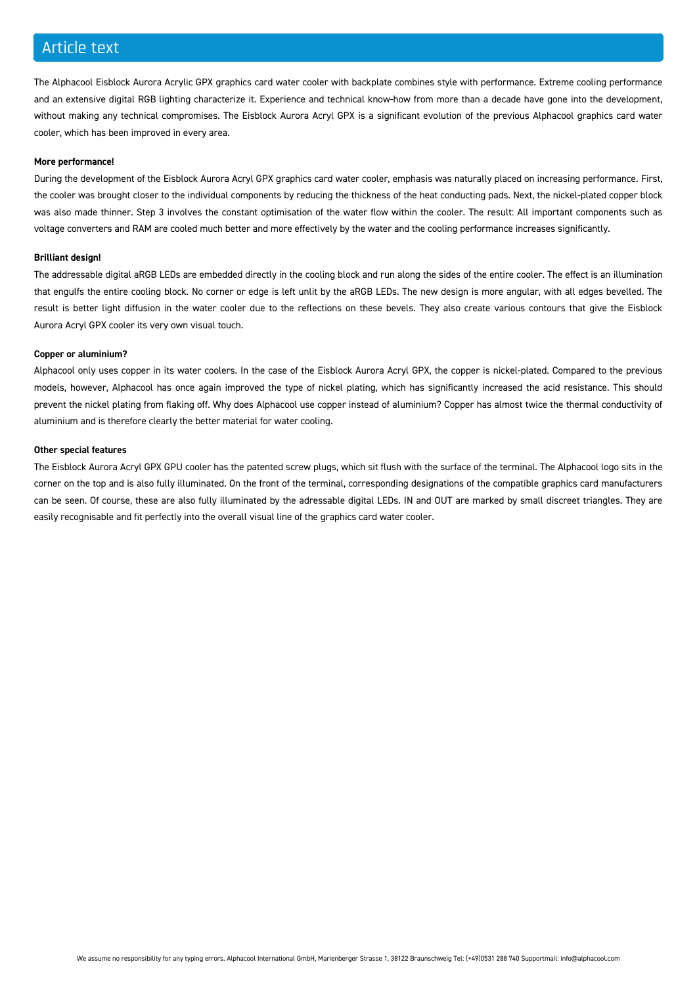#### Article text

The Alphacool Eisblock Aurora Acrylic GPX graphics card water cooler with backplate combines style with performance. Extreme cooling performance and an extensive digital RGB lighting characterize it. Experience and technical know-how from more than a decade have gone into the development, without making any technical compromises. The Eisblock Aurora Acryl GPX is a significant evolution of the previous Alphacool graphics card water cooler, which has been improved in every area.

#### **More performance!**

During the development of the Eisblock Aurora Acryl GPX graphics card water cooler, emphasis was naturally placed on increasing performance. First, the cooler was brought closer to the individual components by reducing the thickness of the heat conducting pads. Next, the nickel-plated copper block was also made thinner. Step 3 involves the constant optimisation of the water flow within the cooler. The result: All important components such as voltage converters and RAM are cooled much better and more effectively by the water and the cooling performance increases significantly.

#### **Brilliant design!**

The addressable digital aRGB LEDs are embedded directly in the cooling block and run along the sides of the entire cooler. The effect is an illumination that engulfs the entire cooling block. No corner or edge is left unlit by the aRGB LEDs. The new design is more angular, with all edges bevelled. The result is better light diffusion in the water cooler due to the reflections on these bevels. They also create various contours that give the Eisblock Aurora Acryl GPX cooler its very own visual touch.

#### **Copper or aluminium?**

Alphacool only uses copper in its water coolers. In the case of the Eisblock Aurora Acryl GPX, the copper is nickel-plated. Compared to the previous models, however, Alphacool has once again improved the type of nickel plating, which has significantly increased the acid resistance. This should prevent the nickel plating from flaking off. Why does Alphacool use copper instead of aluminium? Copper has almost twice the thermal conductivity of aluminium and is therefore clearly the better material for water cooling.

#### **Other special features**

The Eisblock Aurora Acryl GPX GPU cooler has the patented screw plugs, which sit flush with the surface of the terminal. The Alphacool logo sits in the corner on the top and is also fully illuminated. On the front of the terminal, corresponding designations of the compatible graphics card manufacturers can be seen. Of course, these are also fully illuminated by the adressable digital LEDs. IN and OUT are marked by small discreet triangles. They are easily recognisable and fit perfectly into the overall visual line of the graphics card water cooler.